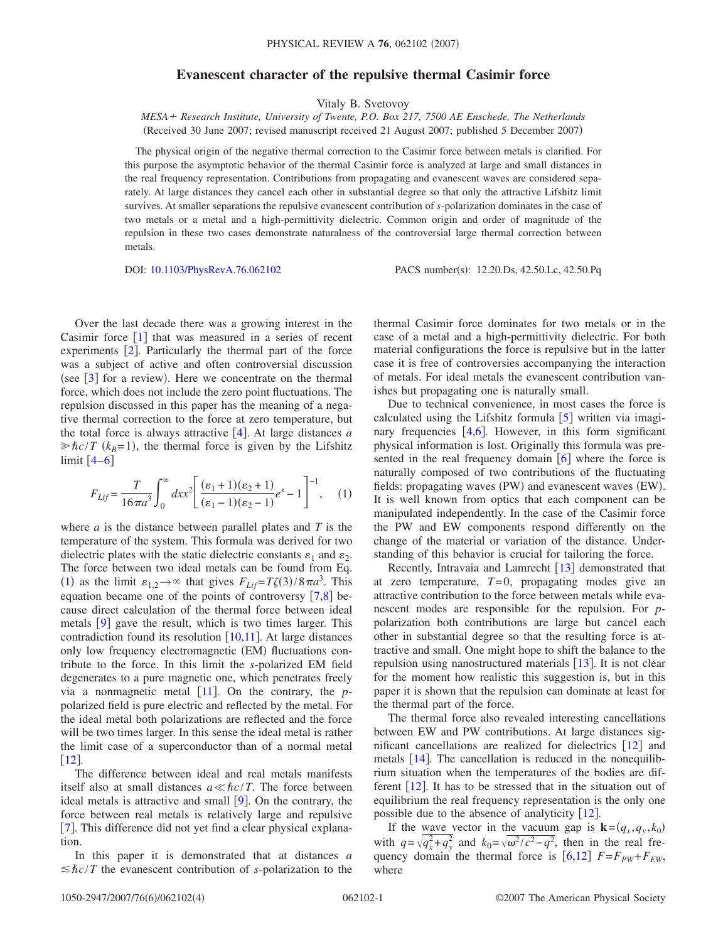## **Evanescent character of the repulsive thermal Casimir force**

Vitaly B. Svetovoy

*MESA Research Institute, University of Twente, P.O. Box 217, 7500 AE Enschede, The Netherlands* (Received 30 June 2007; revised manuscript received 21 August 2007; published 5 December 2007)

The physical origin of the negative thermal correction to the Casimir force between metals is clarified. For this purpose the asymptotic behavior of the thermal Casimir force is analyzed at large and small distances in the real frequency representation. Contributions from propagating and evanescent waves are considered separately. At large distances they cancel each other in substantial degree so that only the attractive Lifshitz limit survives. At smaller separations the repulsive evanescent contribution of *s*-polarization dominates in the case of two metals or a metal and a high-permittivity dielectric. Common origin and order of magnitude of the repulsion in these two cases demonstrate naturalness of the controversial large thermal correction between metals.

DOI: [10.1103/PhysRevA.76.062102](http://dx.doi.org/10.1103/PhysRevA.76.062102)

PACS number(s): 12.20.Ds, 42.50.Lc, 42.50.Pq

Over the last decade there was a growing interest in the Casimir force  $\lceil 1 \rceil$  $\lceil 1 \rceil$  $\lceil 1 \rceil$  that was measured in a series of recent experiments  $\lceil 2 \rceil$  $\lceil 2 \rceil$  $\lceil 2 \rceil$ . Particularly the thermal part of the force was a subject of active and often controversial discussion (see  $[3]$  $[3]$  $[3]$  for a review). Here we concentrate on the thermal force, which does not include the zero point fluctuations. The repulsion discussed in this paper has the meaning of a negative thermal correction to the force at zero temperature, but the total force is always attractive  $\lceil 4 \rceil$  $\lceil 4 \rceil$  $\lceil 4 \rceil$ . At large distances *a*  $\gg \hbar c/T$  ( $k_B$ =1), the thermal force is given by the Lifshitz limit  $[4-6]$  $[4-6]$  $[4-6]$ 

<span id="page-0-0"></span>
$$
F_{Lif} = \frac{T}{16\pi a^3} \int_0^\infty dx x^2 \left[ \frac{(\varepsilon_1 + 1)(\varepsilon_2 + 1)}{(\varepsilon_1 - 1)(\varepsilon_2 - 1)} e^x - 1 \right]^{-1}, \quad (1)
$$

where *a* is the distance between parallel plates and *T* is the temperature of the system. This formula was derived for two dielectric plates with the static dielectric constants  $\varepsilon_1$  and  $\varepsilon_2$ . The force between two ideal metals can be found from Eq. ([1](#page-0-0)) as the limit  $\varepsilon_{1,2} \to \infty$  that gives  $F_{Lif} = T\zeta(3)/8\pi a^3$ . This equation became one of the points of controversy  $\lceil 7, 8 \rceil$  $\lceil 7, 8 \rceil$  $\lceil 7, 8 \rceil$  $\lceil 7, 8 \rceil$  $\lceil 7, 8 \rceil$  because direct calculation of the thermal force between ideal metals  $\lceil 9 \rceil$  $\lceil 9 \rceil$  $\lceil 9 \rceil$  gave the result, which is two times larger. This contradiction found its resolution  $\lceil 10,11 \rceil$  $\lceil 10,11 \rceil$  $\lceil 10,11 \rceil$  $\lceil 10,11 \rceil$ . At large distances only low frequency electromagnetic (EM) fluctuations contribute to the force. In this limit the *s*-polarized EM field degenerates to a pure magnetic one, which penetrates freely via a nonmagnetic metal  $[11]$  $[11]$  $[11]$ . On the contrary, the *p*polarized field is pure electric and reflected by the metal. For the ideal metal both polarizations are reflected and the force will be two times larger. In this sense the ideal metal is rather the limit case of a superconductor than of a normal metal  $\lceil 12 \rceil$  $\lceil 12 \rceil$  $\lceil 12 \rceil$ .

The difference between ideal and real metals manifests itself also at small distances  $a \ll \hbar c/T$ . The force between ideal metals is attractive and small  $[9]$  $[9]$  $[9]$ . On the contrary, the force between real metals is relatively large and repulsive [[7](#page-3-5)]. This difference did not yet find a clear physical explanation.

In this paper it is demonstrated that at distances *a*  $\leq$ *hc*/*T* the evanescent contribution of *s*-polarization to the thermal Casimir force dominates for two metals or in the case of a metal and a high-permittivity dielectric. For both material configurations the force is repulsive but in the latter case it is free of controversies accompanying the interaction of metals. For ideal metals the evanescent contribution vanishes but propagating one is naturally small.

Due to technical convenience, in most cases the force is calculated using the Lifshitz formula  $[5]$  $[5]$  $[5]$  written via imaginary frequencies  $[4,6]$  $[4,6]$  $[4,6]$  $[4,6]$ . However, in this form significant physical information is lost. Originally this formula was presented in the real frequency domain  $\lceil 6 \rceil$  $\lceil 6 \rceil$  $\lceil 6 \rceil$  where the force is naturally composed of two contributions of the fluctuating fields: propagating waves (PW) and evanescent waves (EW). It is well known from optics that each component can be manipulated independently. In the case of the Casimir force the PW and EW components respond differently on the change of the material or variation of the distance. Understanding of this behavior is crucial for tailoring the force.

Recently, Intravaia and Lamrecht  $\lceil 13 \rceil$  $\lceil 13 \rceil$  $\lceil 13 \rceil$  demonstrated that at zero temperature,  $T=0$ , propagating modes give an attractive contribution to the force between metals while evanescent modes are responsible for the repulsion. For *p*polarization both contributions are large but cancel each other in substantial degree so that the resulting force is attractive and small. One might hope to shift the balance to the repulsion using nanostructured materials  $[13]$  $[13]$  $[13]$ . It is not clear for the moment how realistic this suggestion is, but in this paper it is shown that the repulsion can dominate at least for the thermal part of the force.

The thermal force also revealed interesting cancellations between EW and PW contributions. At large distances significant cancellations are realized for dielectrics  $[12]$  $[12]$  $[12]$  and metals  $[14]$  $[14]$  $[14]$ . The cancellation is reduced in the nonequilibrium situation when the temperatures of the bodies are different  $\lceil 12 \rceil$  $\lceil 12 \rceil$  $\lceil 12 \rceil$ . It has to be stressed that in the situation out of equilibrium the real frequency representation is the only one possible due to the absence of analyticity  $\lceil 12 \rceil$  $\lceil 12 \rceil$  $\lceil 12 \rceil$ .

If the <u>wave</u> vector in the vacuum gap is  $\mathbf{k} = (q_x, q_y, k_0)$ with  $q = \sqrt{q_x^2 + q_y^2}$  and  $k_0 = \sqrt{\omega^2/c^2 - q^2}$ , then in the real frequency domain the thermal force is  $[6,12]$  $[6,12]$  $[6,12]$  $[6,12]$   $F = F_{PW} + F_{EW}$ , where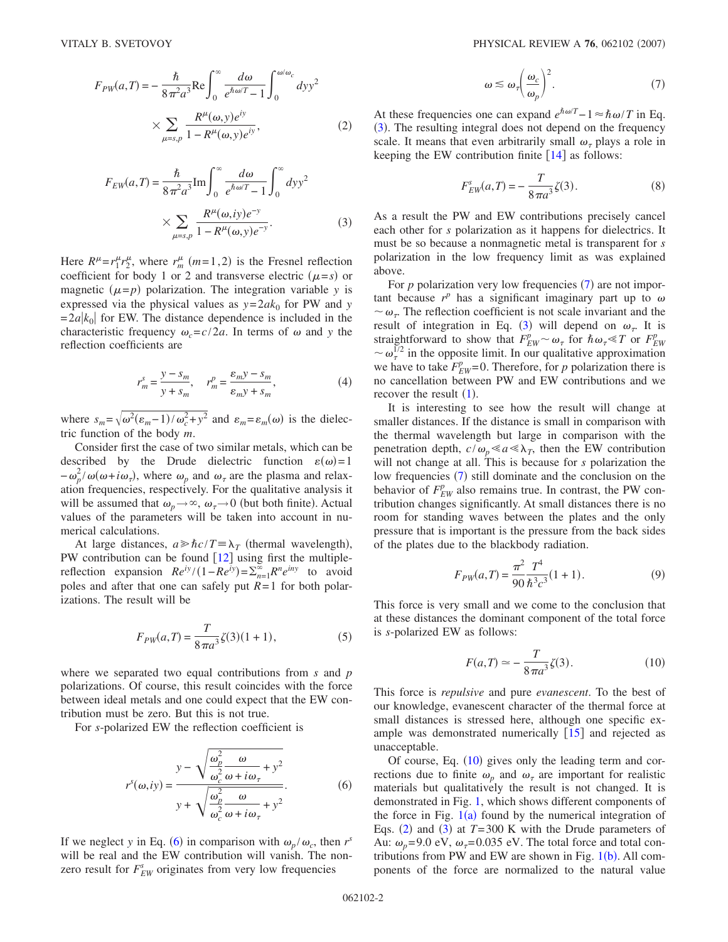<span id="page-1-4"></span>
$$
F_{PW}(a,T) = -\frac{\hbar}{8\pi^2 a^3} \text{Re} \int_0^\infty \frac{d\omega}{e^{\hbar \omega/T} - 1} \int_0^{\omega/\omega_c} dy y^2
$$

$$
\times \sum_{\mu=s,p} \frac{R^\mu(\omega, y) e^{iy}}{1 - R^\mu(\omega, y) e^{iy}},
$$
(2)

<span id="page-1-1"></span>
$$
F_{EW}(a,T) = \frac{\hbar}{8\pi^2 a^3} \text{Im} \int_0^{\infty} \frac{d\omega}{e^{\hbar \omega/T} - 1} \int_0^{\infty} dy y^2
$$

$$
\times \sum_{\mu = s, p} \frac{R^{\mu}(\omega, iy)e^{-y}}{1 - R^{\mu}(\omega, y)e^{-y}}.
$$
(3)

Here  $R^{\mu} = r_1^{\mu} r_2^{\mu}$ , where  $r_m^{\mu}$  (*m* = 1, 2) is the Fresnel reflection coefficient for body 1 or 2 and transverse electric  $(\mu = s)$  or magnetic  $(\mu = p)$  polarization. The integration variable *y* is expressed via the physical values as  $y = 2ak_0$  for PW and *y*  $= 2a|k_0|$  for EW. The distance dependence is included in the characteristic frequency  $\omega_c = c/2a$ . In terms of  $\omega$  and y the reflection coefficients are

$$
r_m^s = \frac{y - s_m}{y + s_m}, \quad r_m^p = \frac{\varepsilon_m y - s_m}{\varepsilon_m y + s_m},
$$
 (4)

<span id="page-1-5"></span>where  $s_m = \sqrt{\omega^2(\epsilon_m - 1)/\omega_c^2 + y^2}$  and  $\epsilon_m = \epsilon_m(\omega)$  is the dielectric function of the body *m*.

Consider first the case of two similar metals, which can be described by the Drude dielectric function  $\varepsilon(\omega) = 1$  $-\omega_p^2/\omega(\omega+i\omega_\tau)$ , where  $\omega_p$  and  $\omega_\tau$  are the plasma and relaxation frequencies, respectively. For the qualitative analysis it will be assumed that  $\omega_p \rightarrow \infty$ ,  $\omega_{\tau} \rightarrow 0$  (but both finite). Actual values of the parameters will be taken into account in numerical calculations.

At large distances,  $a \ge \frac{\hbar}{c}T \equiv \lambda_T$  (thermal wavelength), PW contribution can be found  $[12]$  $[12]$  $[12]$  using first the multiplereflection expansion  $Re^{iy}/(1 - Re^{iy}) = \sum_{n=1}^{\infty} R^n e^{iny}$  to avoid poles and after that one can safely put *R*= 1 for both polarizations. The result will be

$$
F_{PW}(a,T) = \frac{T}{8\pi a^3} \zeta(3)(1+1),\tag{5}
$$

where we separated two equal contributions from *s* and *p* polarizations. Of course, this result coincides with the force between ideal metals and one could expect that the EW contribution must be zero. But this is not true.

<span id="page-1-0"></span>For *s*-polarized EW the reflection coefficient is

$$
r^{s}(\omega, iy) = \frac{y - \sqrt{\frac{\omega_p^2}{\omega_c^2} \frac{\omega}{\omega + i\omega_{\tau}} + y^2}}{y + \sqrt{\frac{\omega_p^2}{\omega_c^2} \frac{\omega}{\omega + i\omega_{\tau}} + y^2}}.
$$
 (6)

If we neglect *y* in Eq. ([6](#page-1-0)) in comparison with  $\omega_p / \omega_c$ , then *r*<sup>*s*</sup> will be real and the EW contribution will vanish. The nonzero result for  $F_{EW}^s$  originates from very low frequencies

$$
\omega \lesssim \omega_{\tau} \bigg(\frac{\omega_c}{\omega_p}\bigg)^2. \tag{7}
$$

<span id="page-1-2"></span>At these frequencies one can expand  $e^{\hbar \omega/T} - 1 \approx \hbar \omega/T$  in Eq. ([3](#page-1-1)). The resulting integral does not depend on the frequency scale. It means that even arbitrarily small  $\omega_{\tau}$  plays a role in keeping the EW contribution finite  $[14]$  $[14]$  $[14]$  as follows:

$$
F_{EW}^s(a,T) = -\frac{T}{8\pi a^3} \zeta(3). \tag{8}
$$

As a result the PW and EW contributions precisely cancel each other for *s* polarization as it happens for dielectrics. It must be so because a nonmagnetic metal is transparent for *s* polarization in the low frequency limit as was explained above.

For  $p$  polarization very low frequencies  $(7)$  $(7)$  $(7)$  are not important because  $r^p$  has a significant imaginary part up to  $\omega$  $\sim \omega_{\tau}$ . The reflection coefficient is not scale invariant and the result of integration in Eq. ([3](#page-1-1)) will depend on  $\omega_{\tau}$ . It is straightforward to show that  $F_{EW}^p \sim \omega_\tau$  for  $\hbar \omega_\tau \ll T$  or  $F_{EW}^p$  $\sim \omega_{\tau}^{1/2}$  in the opposite limit. In our qualitative approximation we have to take  $F_{EW}^p$ =0. Therefore, for *p* polarization there is no cancellation between PW and EW contributions and we recover the result  $(1)$  $(1)$  $(1)$ .

It is interesting to see how the result will change at smaller distances. If the distance is small in comparison with the thermal wavelength but large in comparison with the penetration depth,  $c/\omega_p \ll a \ll \lambda_T$ , then the EW contribution will not change at all. This is because for *s* polarization the low frequencies ([7](#page-1-2)) still dominate and the conclusion on the behavior of  $F_{EW}^p$  also remains true. In contrast, the PW contribution changes significantly. At small distances there is no room for standing waves between the plates and the only pressure that is important is the pressure from the back sides of the plates due to the blackbody radiation.

$$
F_{PW}(a,T) = \frac{\pi^2}{90} \frac{T^4}{\hbar^3 c^3} (1+1).
$$
 (9)

<span id="page-1-3"></span>This force is very small and we come to the conclusion that at these distances the dominant component of the total force is *s*-polarized EW as follows:

$$
F(a,T) \simeq -\frac{T}{8\pi a^3} \zeta(3). \tag{10}
$$

This force is *repulsive* and pure *evanescent*. To the best of our knowledge, evanescent character of the thermal force at small distances is stressed here, although one specific example was demonstrated numerically  $\lceil 15 \rceil$  $\lceil 15 \rceil$  $\lceil 15 \rceil$  and rejected as unacceptable.

Of course, Eq.  $(10)$  $(10)$  $(10)$  gives only the leading term and corrections due to finite  $\omega_p$  and  $\omega_{\tau}$  are important for realistic materials but qualitatively the result is not changed. It is demonstrated in Fig. [1,](#page-2-0) which shows different components of the force in Fig.  $1(a)$  $1(a)$  found by the numerical integration of Eqs. ([2](#page-1-4)) and ([3](#page-1-1)) at  $T=300$  K with the Drude parameters of Au:  $\omega_p = 9.0 \text{ eV}, \omega_\tau = 0.035 \text{ eV}$ . The total force and total contributions from PW and EW are shown in Fig.  $1(b)$  $1(b)$ . All components of the force are normalized to the natural value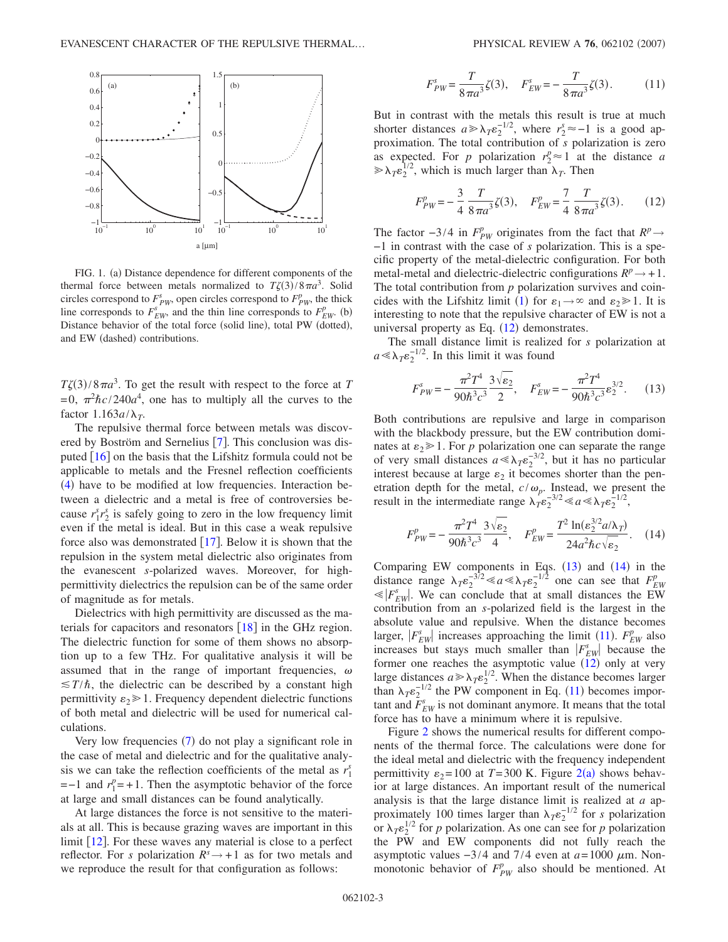<span id="page-2-0"></span>

FIG. 1. (a) Distance dependence for different components of the thermal force between metals normalized to  $T\zeta(3)/8\pi a^3$ . Solid circles correspond to  $F_{PW}^s$ , open circles correspond to  $F_{PW}^p$ , the thick line corresponds to  $F_{EW}^s$ , and the thin line corresponds to  $F_{EW}^p$ . (b) Distance behavior of the total force (solid line), total PW (dotted), and EW (dashed) contributions.

 $T\zeta(3)/8\pi a^3$ . To get the result with respect to the force at *T*  $= 0$ ,  $\pi^2 \hbar c / 240a^4$ , one has to multiply all the curves to the factor  $1.163a/\lambda_T$ .

The repulsive thermal force between metals was discovered by Boström and Sernelius  $[7]$  $[7]$  $[7]$ . This conclusion was disputed  $[16]$  $[16]$  $[16]$  on the basis that the Lifshitz formula could not be applicable to metals and the Fresnel reflection coefficients ([4](#page-1-5)) have to be modified at low frequencies. Interaction between a dielectric and a metal is free of controversies because  $r_1^s r_2^s$  is safely going to zero in the low frequency limit even if the metal is ideal. But in this case a weak repulsive force also was demonstrated  $[17]$  $[17]$  $[17]$ . Below it is shown that the repulsion in the system metal dielectric also originates from the evanescent *s*-polarized waves. Moreover, for highpermittivity dielectrics the repulsion can be of the same order of magnitude as for metals.

Dielectrics with high permittivity are discussed as the materials for capacitors and resonators  $[18]$  $[18]$  $[18]$  in the GHz region. The dielectric function for some of them shows no absorption up to a few THz. For qualitative analysis it will be assumed that in the range of important frequencies,  $\omega$  $\leq T/\hbar$ , the dielectric can be described by a constant high permittivity  $\varepsilon_2 \geq 1$ . Frequency dependent dielectric functions of both metal and dielectric will be used for numerical calculations.

Very low frequencies ([7](#page-1-2)) do not play a significant role in the case of metal and dielectric and for the qualitative analysis we can take the reflection coefficients of the metal as  $r_1^s$  $=-1$  and  $r_1^p = +1$ . Then the asymptotic behavior of the force at large and small distances can be found analytically.

At large distances the force is not sensitive to the materials at all. This is because grazing waves are important in this limit  $\lceil 12 \rceil$  $\lceil 12 \rceil$  $\lceil 12 \rceil$ . For these waves any material is close to a perfect reflector. For *s* polarization  $R^s \rightarrow +1$  as for two metals and we reproduce the result for that configuration as follows:

$$
F_{PW}^s = \frac{T}{8\pi a^3} \zeta(3), \quad F_{EW}^s = -\frac{T}{8\pi a^3} \zeta(3). \tag{11}
$$

<span id="page-2-4"></span>But in contrast with the metals this result is true at much shorter distances  $a \ge \lambda_T \varepsilon_2^{-1/2}$ , where  $r_2^s \approx -1$  is a good approximation. The total contribution of *s* polarization is zero as expected. For *p* polarization  $r_2^p \approx 1$  at the distance *a*  $\gg \lambda_T \epsilon_2^{1/2}$ , which is much larger than  $\lambda_T$ . Then

$$
F_{PW}^p = -\frac{3}{4} \frac{T}{8\pi a^3} \zeta(3), \quad F_{EW}^p = \frac{7}{4} \frac{T}{8\pi a^3} \zeta(3). \tag{12}
$$

<span id="page-2-1"></span>The factor  $-3/4$  in  $F_{PW}^p$  originates from the fact that  $R^p \rightarrow$ −1 in contrast with the case of *s* polarization. This is a specific property of the metal-dielectric configuration. For both metal-metal and dielectric-dielectric configurations  $R^p \rightarrow +1$ . The total contribution from *p* polarization survives and coin-cides with the Lifshitz limit ([1](#page-0-0)) for  $\varepsilon_1 \rightarrow \infty$  and  $\varepsilon_2 \gg 1$ . It is interesting to note that the repulsive character of EW is not a universal property as Eq.  $(12)$  $(12)$  $(12)$  demonstrates.

<span id="page-2-2"></span>The small distance limit is realized for *s* polarization at  $a \ll \lambda_T \varepsilon_2^{-1/2}$ . In this limit it was found

$$
F_{PW}^s = -\frac{\pi^2 T^4}{90\hbar^3 c^3} \frac{3\sqrt{\varepsilon_2}}{2}, \quad F_{EW}^s = -\frac{\pi^2 T^4}{90\hbar^3 c^3} \varepsilon_2^{3/2}.
$$
 (13)

Both contributions are repulsive and large in comparison with the blackbody pressure, but the EW contribution dominates at  $\varepsilon_2 \geq 1$ . For *p* polarization one can separate the range of very small distances  $a \ll \lambda_T \varepsilon_2^{-3/2}$ , but it has no particular interest because at large  $\varepsilon_2$  it becomes shorter than the penetration depth for the metal,  $c/\omega_p$ . Instead, we present the result in the intermediate range  $\lambda_T \varepsilon_2^{-3/2} \ll a \ll \lambda_T \varepsilon_2^{-1/2}$ ,

<span id="page-2-3"></span>
$$
F_{PW}^p = -\frac{\pi^2 T^4}{90\hbar^3 c^3} \frac{3\sqrt{\epsilon_2}}{4}, \quad F_{EW}^p = \frac{T^2 \ln(\epsilon_2^{3/2} a/\lambda_T)}{24a^2 \hbar c \sqrt{\epsilon_2}}.
$$
 (14)

Comparing EW components in Eqs.  $(13)$  $(13)$  $(13)$  and  $(14)$  $(14)$  $(14)$  in the distance range  $\lambda_T \epsilon_2^{-3/2} \ll a \ll \lambda_T \epsilon_2^{-1/2}$  one can see that  $F_{EW}^p$  $\ll |F_{EW}^s|$ . We can conclude that at small distances the EW contribution from an *s*-polarized field is the largest in the absolute value and repulsive. When the distance becomes larger,  $|F_{EW}^s|$  increases approaching the limit ([11](#page-2-4)).  $F_{EW}^p$  also increases but stays much smaller than  $|F_{EW}^s|$  because the former one reaches the asymptotic value  $(12)$  $(12)$  $(12)$  only at very large distances  $a \ge \lambda_T \epsilon_2^{1/2}$ . When the distance becomes larger than  $\lambda_T \varepsilon_2^{-1/2}$  the PW component in Eq. ([11](#page-2-4)) becomes important and  $\overline{F}_{EW}^s$  is not dominant anymore. It means that the total force has to have a minimum where it is repulsive.

Figure [2](#page-3-18) shows the numerical results for different components of the thermal force. The calculations were done for the ideal metal and dielectric with the frequency independent permittivity  $\varepsilon_2 = 100$  $\varepsilon_2 = 100$  $\varepsilon_2 = 100$  at  $T = 300$  K. Figure  $2(a)$  shows behavior at large distances. An important result of the numerical analysis is that the large distance limit is realized at *a* approximately 100 times larger than  $\lambda_T \varepsilon_2^{-1/2}$  for *s* polarization or  $\lambda_T \epsilon_2^{1/2}$  for *p* polarization. As one can see for *p* polarization the PW and EW components did not fully reach the asymptotic values  $-3/4$  and  $7/4$  even at  $a = 1000 \mu$ m. Nonmonotonic behavior of  $F_{PW}^p$  also should be mentioned. At